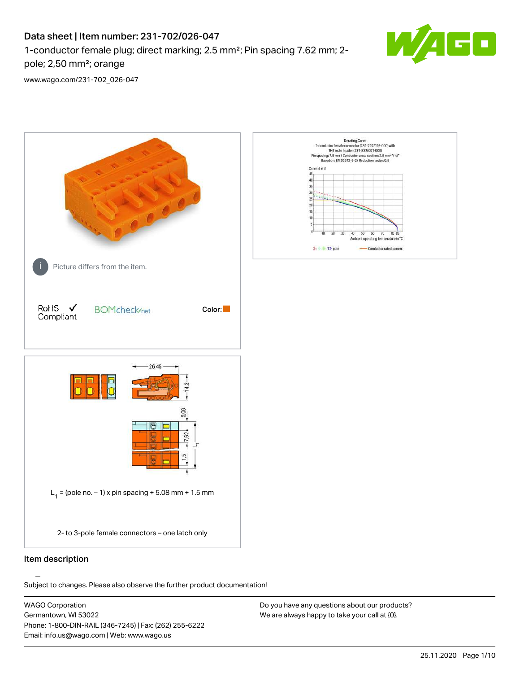## Data sheet | Item number: 231-702/026-047

1-conductor female plug; direct marking; 2.5 mm²; Pin spacing 7.62 mm; 2 pole; 2,50 mm²; orange



[www.wago.com/231-702\\_026-047](http://www.wago.com/231-702_026-047)



### Item description

Subject to changes. Please also observe the further product documentation!

WAGO Corporation Germantown, WI 53022 Phone: 1-800-DIN-RAIL (346-7245) | Fax: (262) 255-6222 Email: info.us@wago.com | Web: www.wago.us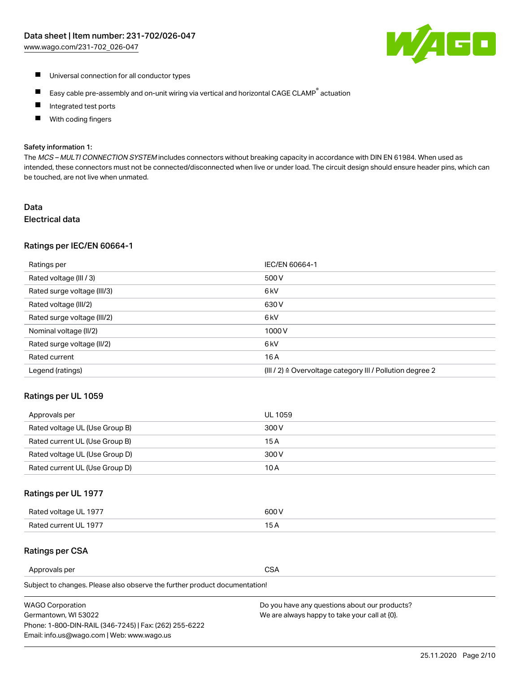

- Universal connection for all conductor types
- $\blacksquare$ Easy cable pre-assembly and on-unit wiring via vertical and horizontal CAGE CLAMP<sup>®</sup> actuation
- $\blacksquare$ Integrated test ports
- With coding fingers  $\blacksquare$

#### Safety information 1:

The MCS - MULTI CONNECTION SYSTEM includes connectors without breaking capacity in accordance with DIN EN 61984. When used as intended, these connectors must not be connected/disconnected when live or under load. The circuit design should ensure header pins, which can be touched, are not live when unmated.

# Data

## Electrical data

#### Ratings per IEC/EN 60664-1

| Ratings per                 | IEC/EN 60664-1                                                        |
|-----------------------------|-----------------------------------------------------------------------|
| Rated voltage (III / 3)     | 500 V                                                                 |
| Rated surge voltage (III/3) | 6 kV                                                                  |
| Rated voltage (III/2)       | 630 V                                                                 |
| Rated surge voltage (III/2) | 6 <sub>k</sub> V                                                      |
| Nominal voltage (II/2)      | 1000V                                                                 |
| Rated surge voltage (II/2)  | 6 <sub>k</sub> V                                                      |
| Rated current               | 16A                                                                   |
| Legend (ratings)            | $(III / 2)$ $\triangle$ Overvoltage category III / Pollution degree 2 |

### Ratings per UL 1059

| Approvals per                  | UL 1059 |
|--------------------------------|---------|
| Rated voltage UL (Use Group B) | 300 V   |
| Rated current UL (Use Group B) | 15 A    |
| Rated voltage UL (Use Group D) | 300 V   |
| Rated current UL (Use Group D) | 10 A    |

#### Ratings per UL 1977

| Rated voltage UL 1977 | 600 V |
|-----------------------|-------|
| Rated current UL 1977 |       |

## Ratings per CSA

| Approvals per | <b>CSA</b> |
|---------------|------------|
|               |            |

Subject to changes. Please also observe the further product documentation!

| <b>WAGO Corporation</b>                                | Do you have any questions about our products? |
|--------------------------------------------------------|-----------------------------------------------|
| Germantown, WI 53022                                   | We are always happy to take your call at {0}. |
| Phone: 1-800-DIN-RAIL (346-7245)   Fax: (262) 255-6222 |                                               |
| Email: info.us@wago.com   Web: www.wago.us             |                                               |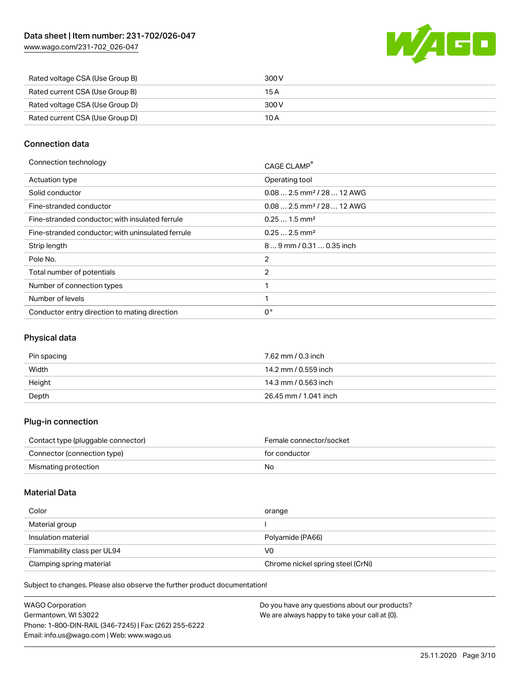[www.wago.com/231-702\\_026-047](http://www.wago.com/231-702_026-047)



| Rated voltage CSA (Use Group B) | 300 V |
|---------------------------------|-------|
| Rated current CSA (Use Group B) | 15 A  |
| Rated voltage CSA (Use Group D) | 300 V |
| Rated current CSA (Use Group D) | 10 A  |

## Connection data

| Connection technology                             | CAGE CLAMP <sup>®</sup>                 |
|---------------------------------------------------|-----------------------------------------|
| Actuation type                                    | Operating tool                          |
| Solid conductor                                   | $0.08$ 2.5 mm <sup>2</sup> / 28  12 AWG |
| Fine-stranded conductor                           | $0.08$ 2.5 mm <sup>2</sup> / 28  12 AWG |
| Fine-stranded conductor; with insulated ferrule   | $0.251.5$ mm <sup>2</sup>               |
| Fine-stranded conductor; with uninsulated ferrule | $0.252.5$ mm <sup>2</sup>               |
| Strip length                                      | 89 mm / 0.31  0.35 inch                 |
| Pole No.                                          | 2                                       |
| Total number of potentials                        | 2                                       |
| Number of connection types                        | ◀                                       |
| Number of levels                                  | ◀                                       |
| Conductor entry direction to mating direction     | 0°                                      |

## Physical data

| Pin spacing | 7.62 mm / 0.3 inch    |
|-------------|-----------------------|
| Width       | 14.2 mm / 0.559 inch  |
| Height      | 14.3 mm / 0.563 inch  |
| Depth       | 26.45 mm / 1.041 inch |

## Plug-in connection

| Contact type (pluggable connector) | Female connector/socket |
|------------------------------------|-------------------------|
| Connector (connection type)        | for conductor           |
| Mismating protection               | No                      |

#### Material Data

| Color                       | orange                            |
|-----------------------------|-----------------------------------|
| Material group              |                                   |
| Insulation material         | Polyamide (PA66)                  |
| Flammability class per UL94 | V0                                |
| Clamping spring material    | Chrome nickel spring steel (CrNi) |

Subject to changes. Please also observe the further product documentation!

| <b>WAGO Corporation</b>                                | Do you have any questions about our products? |
|--------------------------------------------------------|-----------------------------------------------|
| Germantown, WI 53022                                   | We are always happy to take your call at {0}. |
| Phone: 1-800-DIN-RAIL (346-7245)   Fax: (262) 255-6222 |                                               |
| Email: info.us@wago.com   Web: www.wago.us             |                                               |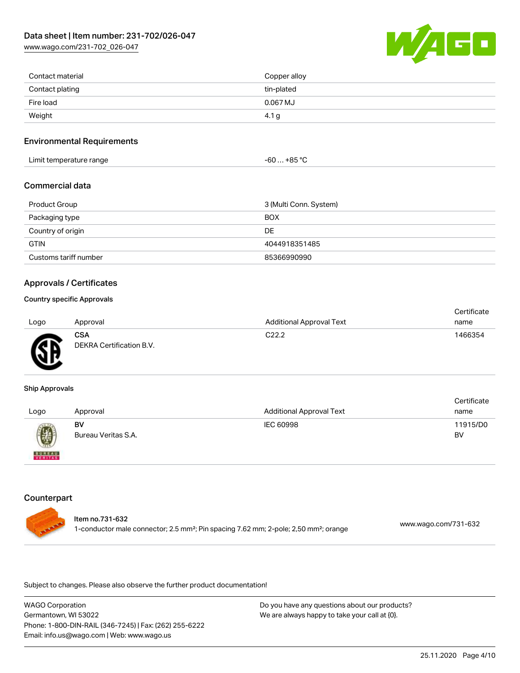[www.wago.com/231-702\\_026-047](http://www.wago.com/231-702_026-047)



| Contact material | Copper alloy |
|------------------|--------------|
| Contact plating  | tin-plated   |
| Fire load        | 0.067 MJ     |
| Weight           | 4.1 g        |

### Environmental Requirements

| Limit temperature range | . +85 °Ր<br>-60 |  |
|-------------------------|-----------------|--|
|-------------------------|-----------------|--|

### Commercial data

| Product Group         | 3 (Multi Conn. System) |
|-----------------------|------------------------|
| Packaging type        | <b>BOX</b>             |
| Country of origin     | DE                     |
| <b>GTIN</b>           | 4044918351485          |
| Customs tariff number | 85366990990            |

### Approvals / Certificates

## Country specific Approvals

| Logo | Approval                        | <b>Additional Approval Text</b> | Certificate<br>name |
|------|---------------------------------|---------------------------------|---------------------|
| Œ    | CSA<br>DEKRA Certification B.V. | C <sub>22.2</sub>               | 1466354             |

#### Ship Approvals

| Logo                     | Approval                  | <b>Additional Approval Text</b> | Certificate<br>name |
|--------------------------|---------------------------|---------------------------------|---------------------|
| 0                        | BV<br>Bureau Veritas S.A. | IEC 60998                       | 11915/D0<br>BV      |
| <b>BUREAU</b><br>VERITAS |                           |                                 |                     |

#### **Counterpart**



Subject to changes. Please also observe the further product documentation!

WAGO Corporation Germantown, WI 53022 Phone: 1-800-DIN-RAIL (346-7245) | Fax: (262) 255-6222 Email: info.us@wago.com | Web: www.wago.us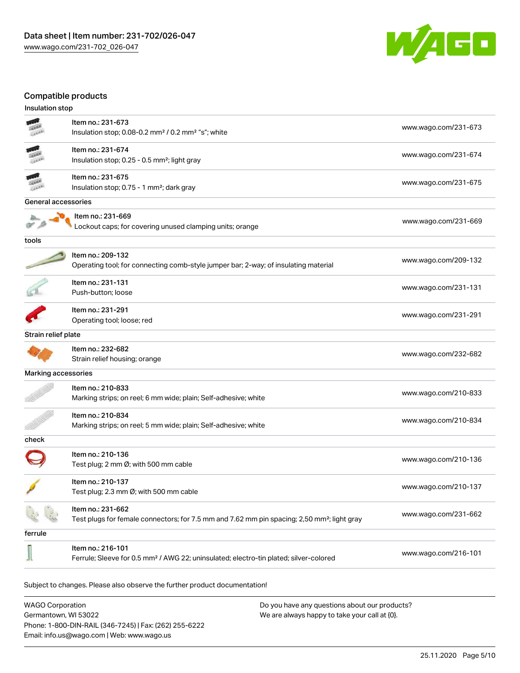

## Compatible products

| Insulation stop     |                                                                                                         |                      |
|---------------------|---------------------------------------------------------------------------------------------------------|----------------------|
|                     | Item no.: 231-673                                                                                       | www.wago.com/231-673 |
|                     | Insulation stop; 0.08-0.2 mm <sup>2</sup> / 0.2 mm <sup>2</sup> "s"; white                              |                      |
|                     | Item no.: 231-674                                                                                       |                      |
|                     | Insulation stop; 0.25 - 0.5 mm <sup>2</sup> ; light gray                                                | www.wago.com/231-674 |
|                     | Item no.: 231-675                                                                                       | www.wago.com/231-675 |
|                     | Insulation stop; 0.75 - 1 mm <sup>2</sup> ; dark gray                                                   |                      |
| General accessories |                                                                                                         |                      |
|                     | Item no.: 231-669                                                                                       | www.wago.com/231-669 |
|                     | Lockout caps; for covering unused clamping units; orange                                                |                      |
| tools               |                                                                                                         |                      |
|                     | Item no.: 209-132                                                                                       | www.wago.com/209-132 |
|                     | Operating tool; for connecting comb-style jumper bar; 2-way; of insulating material                     |                      |
|                     | Item no.: 231-131                                                                                       | www.wago.com/231-131 |
|                     | Push-button; loose                                                                                      |                      |
|                     | Item no.: 231-291                                                                                       | www.wago.com/231-291 |
|                     | Operating tool; loose; red                                                                              |                      |
| Strain relief plate |                                                                                                         |                      |
|                     | Item no.: 232-682                                                                                       | www.wago.com/232-682 |
|                     | Strain relief housing; orange                                                                           |                      |
| Marking accessories |                                                                                                         |                      |
|                     | Item no.: 210-833                                                                                       | www.wago.com/210-833 |
|                     | Marking strips; on reel; 6 mm wide; plain; Self-adhesive; white                                         |                      |
|                     | Item no.: 210-834                                                                                       | www.wago.com/210-834 |
|                     | Marking strips; on reel; 5 mm wide; plain; Self-adhesive; white                                         |                      |
| check               |                                                                                                         |                      |
|                     | Item no.: 210-136                                                                                       | www.wago.com/210-136 |
|                     | Test plug; 2 mm Ø; with 500 mm cable                                                                    |                      |
|                     | Item no.: 210-137                                                                                       |                      |
|                     | Test plug; 2.3 mm Ø; with 500 mm cable                                                                  | www.wago.com/210-137 |
|                     | Item no.: 231-662                                                                                       |                      |
|                     | Test plugs for female connectors; for 7.5 mm and 7.62 mm pin spacing; 2,50 mm <sup>2</sup> ; light gray | www.wago.com/231-662 |
| ferrule             |                                                                                                         |                      |
|                     | Item no.: 216-101                                                                                       |                      |
|                     | Ferrule; Sleeve for 0.5 mm <sup>2</sup> / AWG 22; uninsulated; electro-tin plated; silver-colored       | www.wago.com/216-101 |
|                     |                                                                                                         |                      |
|                     | Subject to changes. Please also observe the further product documentation!                              |                      |
|                     |                                                                                                         |                      |

WAGO Corporation Germantown, WI 53022 Phone: 1-800-DIN-RAIL (346-7245) | Fax: (262) 255-6222 Email: info.us@wago.com | Web: www.wago.us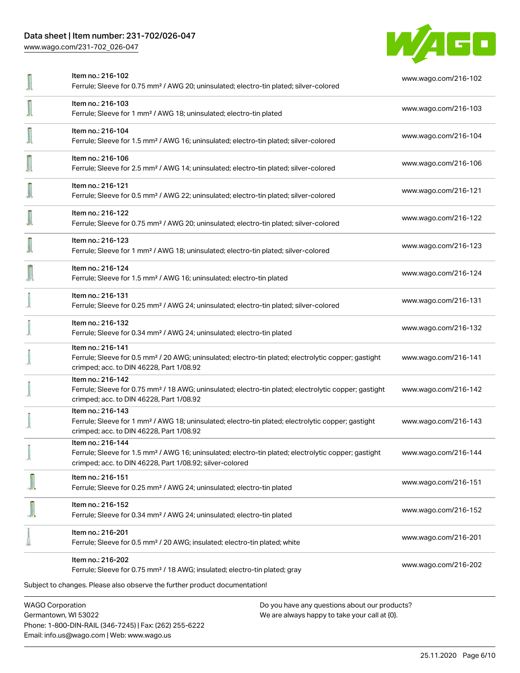## Data sheet | Item number: 231-702/026-047

[www.wago.com/231-702\\_026-047](http://www.wago.com/231-702_026-047)



| Item no.: 216-102<br>Ferrule; Sleeve for 0.75 mm <sup>2</sup> / AWG 20; uninsulated; electro-tin plated; silver-colored                                                                           | www.wago.com/216-102 |
|---------------------------------------------------------------------------------------------------------------------------------------------------------------------------------------------------|----------------------|
| Item no.: 216-103<br>Ferrule; Sleeve for 1 mm <sup>2</sup> / AWG 18; uninsulated; electro-tin plated                                                                                              | www.wago.com/216-103 |
| Item no.: 216-104<br>Ferrule; Sleeve for 1.5 mm <sup>2</sup> / AWG 16; uninsulated; electro-tin plated; silver-colored                                                                            | www.wago.com/216-104 |
| Item no.: 216-106<br>Ferrule; Sleeve for 2.5 mm <sup>2</sup> / AWG 14; uninsulated; electro-tin plated; silver-colored                                                                            | www.wago.com/216-106 |
| Item no.: 216-121<br>Ferrule; Sleeve for 0.5 mm <sup>2</sup> / AWG 22; uninsulated; electro-tin plated; silver-colored                                                                            | www.wago.com/216-121 |
| Item no.: 216-122<br>Ferrule; Sleeve for 0.75 mm <sup>2</sup> / AWG 20; uninsulated; electro-tin plated; silver-colored                                                                           | www.wago.com/216-122 |
| Item no.: 216-123<br>Ferrule; Sleeve for 1 mm <sup>2</sup> / AWG 18; uninsulated; electro-tin plated; silver-colored                                                                              | www.wago.com/216-123 |
| Item no.: 216-124<br>Ferrule; Sleeve for 1.5 mm <sup>2</sup> / AWG 16; uninsulated; electro-tin plated                                                                                            | www.wago.com/216-124 |
| Item no.: 216-131<br>Ferrule; Sleeve for 0.25 mm <sup>2</sup> / AWG 24; uninsulated; electro-tin plated; silver-colored                                                                           | www.wago.com/216-131 |
| Item no.: 216-132<br>Ferrule; Sleeve for 0.34 mm <sup>2</sup> / AWG 24; uninsulated; electro-tin plated                                                                                           | www.wago.com/216-132 |
| Item no.: 216-141<br>Ferrule; Sleeve for 0.5 mm <sup>2</sup> / 20 AWG; uninsulated; electro-tin plated; electrolytic copper; gastight<br>crimped; acc. to DIN 46228, Part 1/08.92                 | www.wago.com/216-141 |
| Item no.: 216-142<br>Ferrule; Sleeve for 0.75 mm <sup>2</sup> / 18 AWG; uninsulated; electro-tin plated; electrolytic copper; gastight<br>crimped; acc. to DIN 46228, Part 1/08.92                | www.wago.com/216-142 |
| Item no.: 216-143<br>Ferrule; Sleeve for 1 mm <sup>2</sup> / AWG 18; uninsulated; electro-tin plated; electrolytic copper; gastight<br>crimped; acc. to DIN 46228, Part 1/08.92                   | www.wago.com/216-143 |
| Item no.: 216-144<br>Ferrule; Sleeve for 1.5 mm <sup>2</sup> / AWG 16; uninsulated; electro-tin plated; electrolytic copper; gastight<br>crimped; acc. to DIN 46228, Part 1/08.92; silver-colored | www.wago.com/216-144 |
| Item no.: 216-151<br>Ferrule; Sleeve for 0.25 mm <sup>2</sup> / AWG 24; uninsulated; electro-tin plated                                                                                           | www.wago.com/216-151 |
| Item no.: 216-152<br>Ferrule; Sleeve for 0.34 mm <sup>2</sup> / AWG 24; uninsulated; electro-tin plated                                                                                           | www.wago.com/216-152 |
| Item no.: 216-201<br>Ferrule; Sleeve for 0.5 mm <sup>2</sup> / 20 AWG; insulated; electro-tin plated; white                                                                                       | www.wago.com/216-201 |
| Item no.: 216-202<br>Ferrule; Sleeve for 0.75 mm <sup>2</sup> / 18 AWG; insulated; electro-tin plated; gray                                                                                       | www.wago.com/216-202 |
| Subject to changes. Please also observe the further product documentation!                                                                                                                        |                      |
| <b>WAGO Corporation</b><br>Do you have any questions about our products?                                                                                                                          |                      |

Germantown, WI 53022 Phone: 1-800-DIN-RAIL (346-7245) | Fax: (262) 255-6222 Email: info.us@wago.com | Web: www.wago.us

We are always happy to take your call at {0}.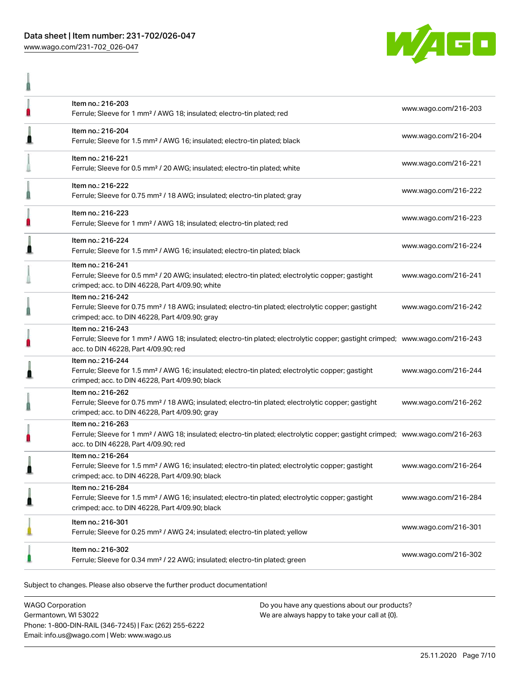ň



|   | Item no.: 216-203<br>Ferrule; Sleeve for 1 mm <sup>2</sup> / AWG 18; insulated; electro-tin plated; red                                                                                                 | www.wago.com/216-203 |
|---|---------------------------------------------------------------------------------------------------------------------------------------------------------------------------------------------------------|----------------------|
| ≞ | Item no.: 216-204<br>Ferrule; Sleeve for 1.5 mm <sup>2</sup> / AWG 16; insulated; electro-tin plated; black                                                                                             | www.wago.com/216-204 |
|   | Item no.: 216-221<br>Ferrule; Sleeve for 0.5 mm <sup>2</sup> / 20 AWG; insulated; electro-tin plated; white                                                                                             | www.wago.com/216-221 |
|   | Item no.: 216-222<br>Ferrule; Sleeve for 0.75 mm <sup>2</sup> / 18 AWG; insulated; electro-tin plated; gray                                                                                             | www.wago.com/216-222 |
|   | Item no.: 216-223<br>Ferrule; Sleeve for 1 mm <sup>2</sup> / AWG 18; insulated; electro-tin plated; red                                                                                                 | www.wago.com/216-223 |
| ≞ | Item no.: 216-224<br>Ferrule; Sleeve for 1.5 mm <sup>2</sup> / AWG 16; insulated; electro-tin plated; black                                                                                             | www.wago.com/216-224 |
|   | Item no.: 216-241<br>Ferrule; Sleeve for 0.5 mm <sup>2</sup> / 20 AWG; insulated; electro-tin plated; electrolytic copper; gastight<br>crimped; acc. to DIN 46228, Part 4/09.90; white                  | www.wago.com/216-241 |
|   | Item no.: 216-242<br>Ferrule; Sleeve for 0.75 mm <sup>2</sup> / 18 AWG; insulated; electro-tin plated; electrolytic copper; gastight<br>crimped; acc. to DIN 46228, Part 4/09.90; gray                  | www.wago.com/216-242 |
|   | Item no.: 216-243<br>Ferrule; Sleeve for 1 mm <sup>2</sup> / AWG 18; insulated; electro-tin plated; electrolytic copper; gastight crimped; www.wago.com/216-243<br>acc. to DIN 46228, Part 4/09.90; red |                      |
| ≞ | Item no.: 216-244<br>Ferrule; Sleeve for 1.5 mm <sup>2</sup> / AWG 16; insulated; electro-tin plated; electrolytic copper; gastight<br>crimped; acc. to DIN 46228, Part 4/09.90; black                  | www.wago.com/216-244 |
|   | Item no.: 216-262<br>Ferrule; Sleeve for 0.75 mm <sup>2</sup> / 18 AWG; insulated; electro-tin plated; electrolytic copper; gastight<br>crimped; acc. to DIN 46228, Part 4/09.90; gray                  | www.wago.com/216-262 |
|   | Item no.: 216-263<br>Ferrule; Sleeve for 1 mm <sup>2</sup> / AWG 18; insulated; electro-tin plated; electrolytic copper; gastight crimped; www.wago.com/216-263<br>acc. to DIN 46228, Part 4/09.90; red |                      |
|   | Item no.: 216-264<br>Ferrule; Sleeve for 1.5 mm <sup>2</sup> / AWG 16; insulated; electro-tin plated; electrolytic copper; gastight<br>crimped; acc. to DIN 46228, Part 4/09.90; black                  | www.wago.com/216-264 |
| ≞ | Item no.: 216-284<br>Ferrule; Sleeve for 1.5 mm <sup>2</sup> / AWG 16; insulated; electro-tin plated; electrolytic copper; gastight<br>crimped; acc. to DIN 46228, Part 4/09.90; black                  | www.wago.com/216-284 |
|   | Item no.: 216-301<br>Ferrule; Sleeve for 0.25 mm <sup>2</sup> / AWG 24; insulated; electro-tin plated; yellow                                                                                           | www.wago.com/216-301 |
|   | Item no.: 216-302<br>Ferrule; Sleeve for 0.34 mm <sup>2</sup> / 22 AWG; insulated; electro-tin plated; green                                                                                            | www.wago.com/216-302 |
|   |                                                                                                                                                                                                         |                      |

Subject to changes. Please also observe the further product documentation!

WAGO Corporation Germantown, WI 53022 Phone: 1-800-DIN-RAIL (346-7245) | Fax: (262) 255-6222 Email: info.us@wago.com | Web: www.wago.us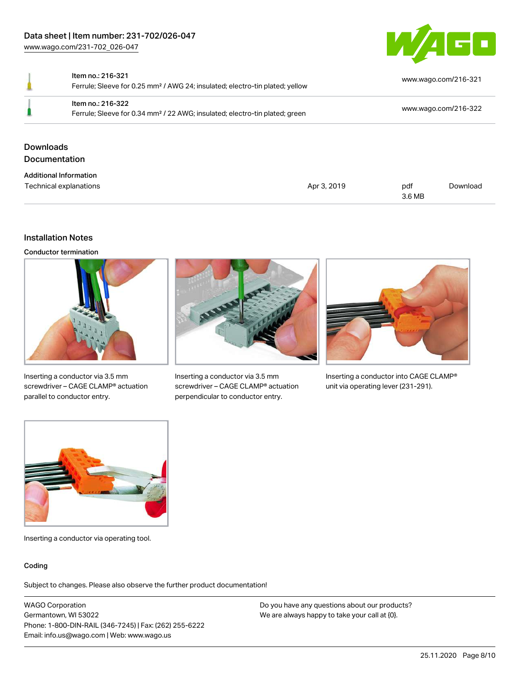

Item no.: 216-321 Ferrule; Sleeve for 0.25 mm² / AWG 24; insulated; electro-tin plated; yellow [www.wago.com/216-321](http://www.wago.com/216-321) Item no.: 216-322 Ferrule; Sleeve for 0.34 mm² / 22 AWG; insulated; electro-tin plated; green [www.wago.com/216-322](http://www.wago.com/216-322) Downloads Documentation Additional Information

#### Technical explanations and political explanations and political explanations and political explanations and political explanations and political explanations and political explanations and political explanations and politi 3.6 MB [Download](https://www.wago.com/us/d/1435602)

#### Installation Notes

Conductor termination



Inserting a conductor via 3.5 mm screwdriver – CAGE CLAMP® actuation parallel to conductor entry.



Inserting a conductor via 3.5 mm screwdriver – CAGE CLAMP® actuation perpendicular to conductor entry.



Inserting a conductor into CAGE CLAMP® unit via operating lever (231-291).



Inserting a conductor via operating tool.

#### Coding

Subject to changes. Please also observe the further product documentation!

WAGO Corporation Germantown, WI 53022 Phone: 1-800-DIN-RAIL (346-7245) | Fax: (262) 255-6222 Email: info.us@wago.com | Web: www.wago.us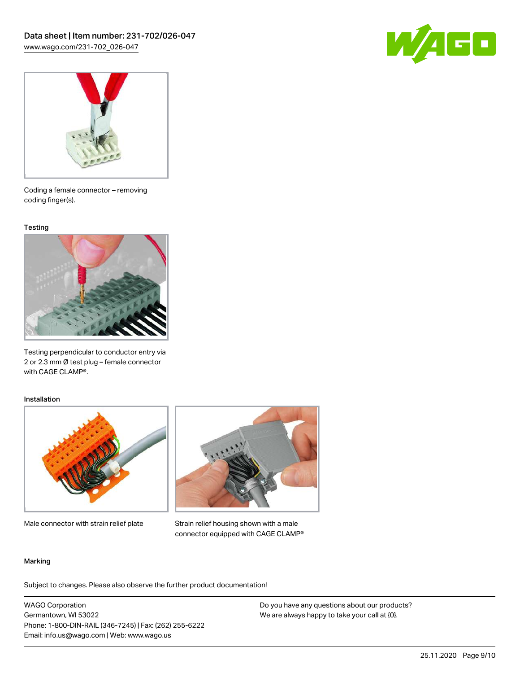



Coding a female connector – removing coding finger(s).

#### **Testing**



Testing perpendicular to conductor entry via 2 or 2.3 mm Ø test plug – female connector with CAGE CLAMP®.

#### Installation



Male connector with strain relief plate



Strain relief housing shown with a male connector equipped with CAGE CLAMP®

#### Marking

Subject to changes. Please also observe the further product documentation!

WAGO Corporation Germantown, WI 53022 Phone: 1-800-DIN-RAIL (346-7245) | Fax: (262) 255-6222 Email: info.us@wago.com | Web: www.wago.us